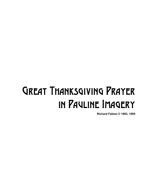## Great Thanksgiving Prayer in Pauline Imagery

**Richard Fabian © 1993, 1995**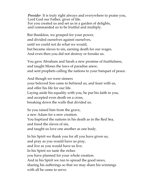*Presider* It is truly right always and everywhere to praise you, Lord God our Father, giver of life. For you created us and set us in a garden of delights, and commanded us to be fruitful and multiply.

But thankless, we grasped for your power, and divided ourselves against ourselves, until we could not do what we would, but became slaves to sin, earning death for our wages. And even then you did not destroy or forsake us.

You gave Abraham and Sarah a new promise of fruitfulness, and taught Moses the laws of paradise anew, and sent prophets calling the nations to your banquet of peace.

And though we were sinners your beloved Son came to befriend us, and feast with us, and offer his life for our life. Laying aside his equality with you, he put his faith in you, and accepted even death on a cross, breaking down the walls that divided us.

So you raised him from the grave, a new Adam for a new creation. You baptized the nations in his death as in the Red Sea, and freed the slaves of sin, and taught us love one another as one body.

In his Spirit we thank you for all you have given us, and pray as you would have us pray, and live as you would have us live. In his Spirit we taste the riches you have planned for your whole creation. And in his Spirit we run to spread the good news, sharing his sufferings so that we may share his winnings with all he came to serve.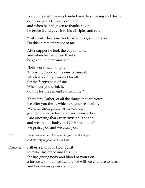For on the night he was handed over to suffering and death, our Lord Jesus Christ took bread; and when he had given to thanks to you, he broke it and gave it to his disciples and said—

"Take, eat: This is my body, which is given for you. Do this in remembrance of me."

After supper he took the cup of wine; and when he had given thanks, he gave it to them and said—

"Drink of this, all of you: This is my blood of the new covenant, which is shed for you and for all for the forgiveness of sins. Whenever you drink it, do this for the remembrance of me."

Therefore, Father, of all the things that are yours we offer you these, which are yours especially. We offer them gladly, as he told us, giving thanks for his death and resurrection. And knowing that every division is ended, and we are one body, and Christ is all in all, we praise you and we bless you.

*ALL: We praise you, we bless you, we give thanks to you, and we pray to you, Lord our God.*

Presider Father, send your Holy Spirit to make this bread and this cup the life-giving body and blood of your Son, a foretaste of that feast where we will see you face to face, and know you as we are known.